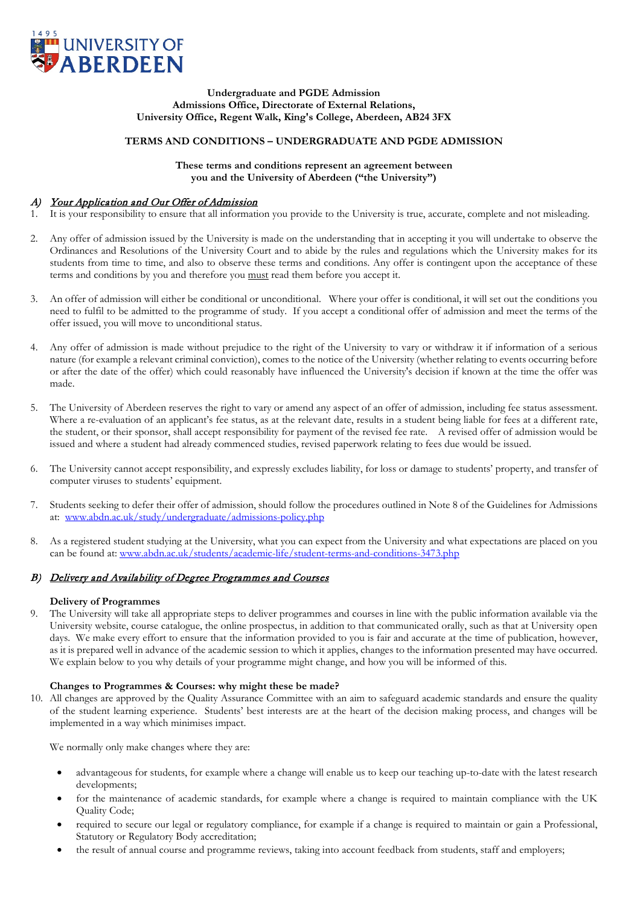

#### **Undergraduate and PGDE Admission Admissions Office, Directorate of External Relations, University Office, Regent Walk, King's College, Aberdeen, AB24 3FX**

## **TERMS AND CONDITIONS – UNDERGRADUATE AND PGDE ADMISSION**

#### **These terms and conditions represent an agreement between you and the University of Aberdeen ("the University")**

## A) Your Application and Our Offer of Admission

- 1. It is your responsibility to ensure that all information you provide to the University is true, accurate, complete and not misleading.
- 2. Any offer of admission issued by the University is made on the understanding that in accepting it you will undertake to observe the Ordinances and Resolutions of the University Court and to abide by the rules and regulations which the University makes for its students from time to time, and also to observe these terms and conditions. Any offer is contingent upon the acceptance of these terms and conditions by you and therefore you must read them before you accept it.
- 3. An offer of admission will either be conditional or unconditional. Where your offer is conditional, it will set out the conditions you need to fulfil to be admitted to the programme of study. If you accept a conditional offer of admission and meet the terms of the offer issued, you will move to unconditional status.
- 4. Any offer of admission is made without prejudice to the right of the University to vary or withdraw it if information of a serious nature (for example a relevant criminal conviction), comes to the notice of the University (whether relating to events occurring before or after the date of the offer) which could reasonably have influenced the University's decision if known at the time the offer was made.
- 5. The University of Aberdeen reserves the right to vary or amend any aspect of an offer of admission, including fee status assessment. Where a re-evaluation of an applicant's fee status, as at the relevant date, results in a student being liable for fees at a different rate, the student, or their sponsor, shall accept responsibility for payment of the revised fee rate. A revised offer of admission would be issued and where a student had already commenced studies, revised paperwork relating to fees due would be issued.
- 6. The University cannot accept responsibility, and expressly excludes liability, for loss or damage to students' property, and transfer of computer viruses to students' equipment.
- 7. Students seeking to defer their offer of admission, should follow the procedures outlined in Note 8 of the Guidelines for Admissions at: [www.abdn.ac.uk/study/undergraduate/admissions-policy.php](http://www.abdn.ac.uk/study/undergraduate/admissions-policy.php)
- 8. As a registered student studying at the University, what you can expect from the University and what expectations are placed on you can be found at: [www.abdn.ac.uk/students/academic-life/student-terms-and-conditions-3473.php](http://www.abdn.ac.uk/students/academic-life/student-terms-and-conditions-3473.php)

# B) Delivery and Availability of Degree Programmes and Courses

## **Delivery of Programmes**

9. The University will take all appropriate steps to deliver programmes and courses in line with the public information available via the University website, course catalogue, the online prospectus, in addition to that communicated orally, such as that at University open days. We make every effort to ensure that the information provided to you is fair and accurate at the time of publication, however, as it is prepared well in advance of the academic session to which it applies, changes to the information presented may have occurred. We explain below to you why details of your programme might change, and how you will be informed of this.

## **Changes to Programmes & Courses: why might these be made?**

10. All changes are approved by the Quality Assurance Committee with an aim to safeguard academic standards and ensure the quality of the student learning experience. Students' best interests are at the heart of the decision making process, and changes will be implemented in a way which minimises impact.

We normally only make changes where they are:

- advantageous for students, for example where a change will enable us to keep our teaching up-to-date with the latest research developments;
- for the maintenance of academic standards, for example where a change is required to maintain compliance with the UK Quality Code;
- required to secure our legal or regulatory compliance, for example if a change is required to maintain or gain a Professional, Statutory or Regulatory Body accreditation;
- the result of annual course and programme reviews, taking into account feedback from students, staff and employers;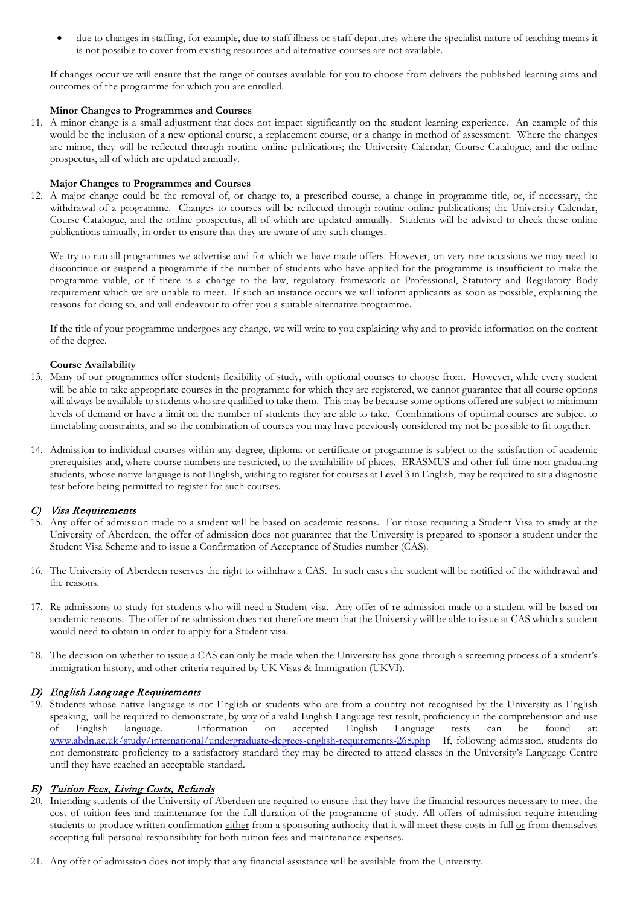• due to changes in staffing, for example, due to staff illness or staff departures where the specialist nature of teaching means it is not possible to cover from existing resources and alternative courses are not available.

If changes occur we will ensure that the range of courses available for you to choose from delivers the published learning aims and outcomes of the programme for which you are enrolled.

#### **Minor Changes to Programmes and Courses**

11. A minor change is a small adjustment that does not impact significantly on the student learning experience. An example of this would be the inclusion of a new optional course, a replacement course, or a change in method of assessment. Where the changes are minor, they will be reflected through routine online publications; the University Calendar, Course Catalogue, and the online prospectus, all of which are updated annually.

#### **Major Changes to Programmes and Courses**

12. A major change could be the removal of, or change to, a prescribed course, a change in programme title, or, if necessary, the withdrawal of a programme. Changes to courses will be reflected through routine online publications; the University Calendar, Course Catalogue, and the online prospectus, all of which are updated annually. Students will be advised to check these online publications annually, in order to ensure that they are aware of any such changes.

We try to run all programmes we advertise and for which we have made offers. However, on very rare occasions we may need to discontinue or suspend a programme if the number of students who have applied for the programme is insufficient to make the programme viable, or if there is a change to the law, regulatory framework or Professional, Statutory and Regulatory Body requirement which we are unable to meet. If such an instance occurs we will inform applicants as soon as possible, explaining the reasons for doing so, and will endeavour to offer you a suitable alternative programme.

If the title of your programme undergoes any change, we will write to you explaining why and to provide information on the content of the degree.

#### **Course Availability**

- 13. Many of our programmes offer students flexibility of study, with optional courses to choose from. However, while every student will be able to take appropriate courses in the programme for which they are registered, we cannot guarantee that all course options will always be available to students who are qualified to take them. This may be because some options offered are subject to minimum levels of demand or have a limit on the number of students they are able to take. Combinations of optional courses are subject to timetabling constraints, and so the combination of courses you may have previously considered my not be possible to fit together.
- 14. Admission to individual courses within any degree, diploma or certificate or programme is subject to the satisfaction of academic prerequisites and, where course numbers are restricted, to the availability of places. ERASMUS and other full-time non-graduating students, whose native language is not English, wishing to register for courses at Level 3 in English, may be required to sit a diagnostic test before being permitted to register for such courses.

## C) Visa Requirements

- 15. Any offer of admission made to a student will be based on academic reasons. For those requiring a Student Visa to study at the University of Aberdeen, the offer of admission does not guarantee that the University is prepared to sponsor a student under the Student Visa Scheme and to issue a Confirmation of Acceptance of Studies number (CAS).
- 16. The University of Aberdeen reserves the right to withdraw a CAS. In such cases the student will be notified of the withdrawal and the reasons.
- 17. Re-admissions to study for students who will need a Student visa. Any offer of re-admission made to a student will be based on academic reasons. The offer of re-admission does not therefore mean that the University will be able to issue at CAS which a student would need to obtain in order to apply for a Student visa.
- 18. The decision on whether to issue a CAS can only be made when the University has gone through a screening process of a student's immigration history, and other criteria required by UK Visas & Immigration (UKVI).

## D) English Language Requirements

19. Students whose native language is not English or students who are from a country not recognised by the University as English speaking, will be required to demonstrate, by way of a valid English Language test result, proficiency in the comprehension and use of English language. Information on accepted English Language tests can be found at: of English language. Information on accepted English Language tests can be found at: [www.abdn.ac.uk/study/international/undergraduate-degrees-english-requirements-268.php](http://www.abdn.ac.uk/study/international/undergraduate-degrees-english-requirements-268.php) If, following admission, students do not demonstrate proficiency to a satisfactory standard they may be directed to attend classes in the University's Language Centre until they have reached an acceptable standard.

## E) Tuition Fees, Living Costs, Refunds

- 20. Intending students of the University of Aberdeen are required to ensure that they have the financial resources necessary to meet the cost of tuition fees and maintenance for the full duration of the programme of study. All offers of admission require intending students to produce written confirmation either from a sponsoring authority that it will meet these costs in full or from themselves accepting full personal responsibility for both tuition fees and maintenance expenses.
- 21. Any offer of admission does not imply that any financial assistance will be available from the University.